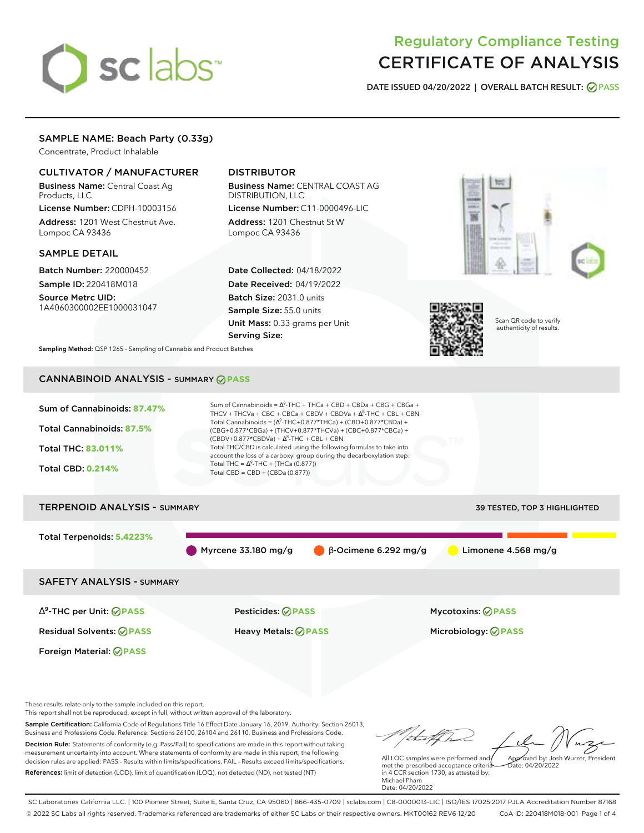# sclabs

# Regulatory Compliance Testing CERTIFICATE OF ANALYSIS

**DATE ISSUED 04/20/2022 | OVERALL BATCH RESULT: PASS**

# SAMPLE NAME: Beach Party (0.33g)

Concentrate, Product Inhalable

# CULTIVATOR / MANUFACTURER

Business Name: Central Coast Ag Products, LLC

License Number: CDPH-10003156 Address: 1201 West Chestnut Ave. Lompoc CA 93436

# SAMPLE DETAIL

Batch Number: 220000452 Sample ID: 220418M018 Source Metrc UID:

1A4060300002EE1000031047

# DISTRIBUTOR

Business Name: CENTRAL COAST AG DISTRIBUTION, LLC License Number: C11-0000496-LIC

Address: 1201 Chestnut St W Lompoc CA 93436

Date Collected: 04/18/2022 Date Received: 04/19/2022 Batch Size: 2031.0 units Sample Size: 55.0 units Unit Mass: 0.33 grams per Unit Serving Size:





Scan QR code to verify authenticity of results.

**Sampling Method:** QSP 1265 - Sampling of Cannabis and Product Batches

# CANNABINOID ANALYSIS - SUMMARY **PASS**



These results relate only to the sample included on this report.

This report shall not be reproduced, except in full, without written approval of the laboratory.

Sample Certification: California Code of Regulations Title 16 Effect Date January 16, 2019. Authority: Section 26013, Business and Professions Code. Reference: Sections 26100, 26104 and 26110, Business and Professions Code. Decision Rule: Statements of conformity (e.g. Pass/Fail) to specifications are made in this report without taking measurement uncertainty into account. Where statements of conformity are made in this report, the following decision rules are applied: PASS - Results within limits/specifications, FAIL - Results exceed limits/specifications.

References: limit of detection (LOD), limit of quantification (LOQ), not detected (ND), not tested (NT)

Approved by: Josh Wurzer, President

 $ate: 04/20/2022$ 

All LQC samples were performed and met the prescribed acceptance criteria in 4 CCR section 1730, as attested by: Michael Pham Date: 04/20/2022

SC Laboratories California LLC. | 100 Pioneer Street, Suite E, Santa Cruz, CA 95060 | 866-435-0709 | sclabs.com | C8-0000013-LIC | ISO/IES 17025:2017 PJLA Accreditation Number 87168 © 2022 SC Labs all rights reserved. Trademarks referenced are trademarks of either SC Labs or their respective owners. MKT00162 REV6 12/20 CoA ID: 220418M018-001 Page 1 of 4